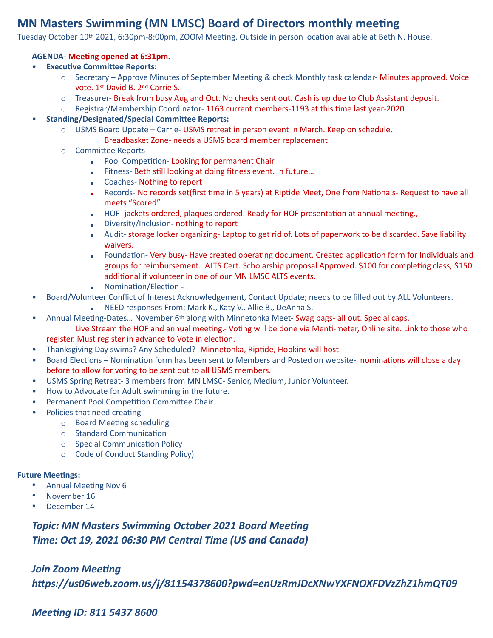# **MN Masters Swimming (MN LMSC) Board of Directors monthly meeting**

Tuesday October 19th 2021, 6:30pm-8:00pm, ZOOM Meeting. Outside in person location available at Beth N. House.

#### **AGENDA- Meeting opened at 6:31pm.**

- **Executive Committee Reports:** 
	- $\circ$  Secretary Approve Minutes of September Meeting & check Monthly task calendar- Minutes approved. Voice vote. 1st David B. 2nd Carrie S.
	- $\circ$  Treasurer- Break from busy Aug and Oct. No checks sent out. Cash is up due to Club Assistant deposit.
	- $\circ$  Registrar/Membership Coordinator-1163 current members-1193 at this time last year-2020
- **Standing/Designated/Special Committee Reports:** 
	- $\circ$  USMS Board Update Carrie- USMS retreat in person event in March. Keep on schedule.
		- Breadbasket Zone- needs a USMS board member replacement
	- o Committee Reports
		- **Pool Competition-Looking for permanent Chair**
		- **EXECT:** Fitness- Beth still looking at doing fitness event. In future...
		- Coaches- Nothing to report
		- Records- No records set(first time in 5 years) at Riptide Meet, One from Nationals- Request to have all meets "Scored"
		- $\blacksquare$  HOF-jackets ordered, plaques ordered. Ready for HOF presentation at annual meeting.
		- **EXECUTE:** Diversity/Inclusion- nothing to report
		- Audit- storage locker organizing- Laptop to get rid of. Lots of paperwork to be discarded. Save liability waivers.
		- Foundation- Very busy- Have created operating document. Created application form for Individuals and groups for reimbursement. ALTS Cert. Scholarship proposal Approved. \$100 for completing class, \$150 additional if volunteer in one of our MN LMSC ALTS events.
		- **■** Nomination/Election -
- Board/Volunteer Conflict of Interest Acknowledgement, Contact Update; needs to be filled out by ALL Volunteers.
	- NEED responses From: Mark K., Katy V., Allie B., DeAnna S.
- Annual Meeting-Dates... November 6<sup>th</sup> along with Minnetonka Meet- Swag bags- all out. Special caps. Live Stream the HOF and annual meeting.- Voting will be done via Menti-meter, Online site. Link to those who register. Must register in advance to Vote in election.
- Thanksgiving Day swims? Any Scheduled?- Minnetonka, Riptide, Hopkins will host.
- Board Elections Nomination form has been sent to Members and Posted on website- nominations will close a day before to allow for voting to be sent out to all USMS members.
- USMS Spring Retreat- 3 members from MN LMSC- Senior, Medium, Junior Volunteer.
- How to Advocate for Adult swimming in the future.
- **Permanent Pool Competition Committee Chair**
- Policies that need creating
	- $\circ$  Board Meeting scheduling
	- $\circ$  Standard Communication
	- $\circ$  Special Communication Policy
	- o Code of Conduct Standing Policy)

#### **Future Meetings:**

- Annual Meeting Nov 6
- November 16
- December 14

**Topic: MN Masters Swimming October 2021 Board Meeting** *Time: Oct 19, 2021 06:30 PM Central Time (US and Canada)* 

### *Join Zoom Meeting*

*hIps://us06web.zoom.us/j/81154378600?pwd=enUzRmJDcXNwYXFNOXFDVzZhZ1hmQT09* 

## *Meeting ID: 811 5437 8600*